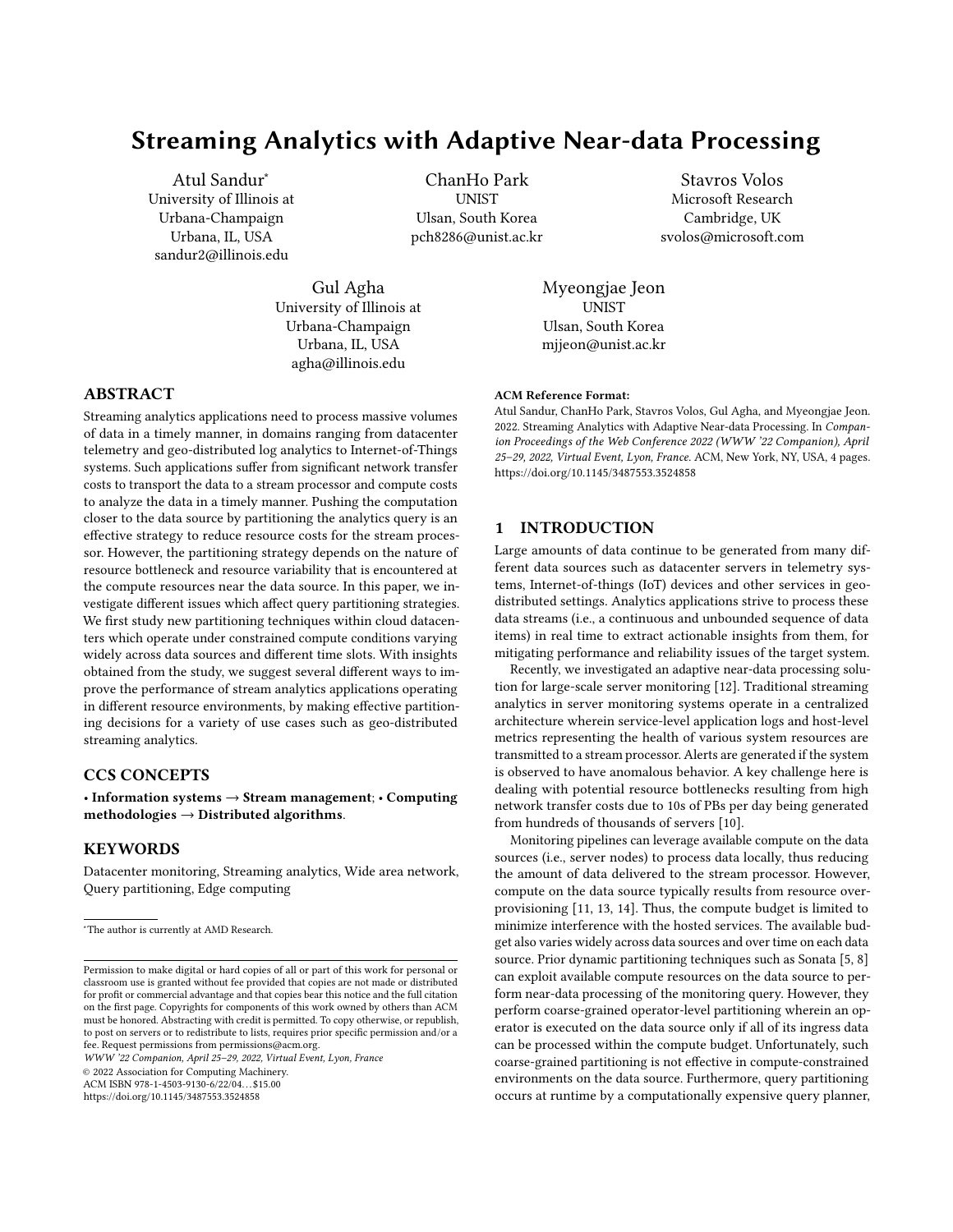# Streaming Analytics with Adaptive Near-data Processing

Atul Sandur<sup>∗</sup> University of Illinois at Urbana-Champaign Urbana, IL, USA sandur2@illinois.edu

> Gul Agha University of Illinois at Urbana-Champaign Urbana, IL, USA agha@illinois.edu

ChanHo Park **UNIST** Ulsan, South Korea pch8286@unist.ac.kr

Stavros Volos Microsoft Research Cambridge, UK svolos@microsoft.com

Myeongjae Jeon UNIST Ulsan, South Korea mjjeon@unist.ac.kr

# ABSTRACT

Streaming analytics applications need to process massive volumes of data in a timely manner, in domains ranging from datacenter telemetry and geo-distributed log analytics to Internet-of-Things systems. Such applications suffer from significant network transfer costs to transport the data to a stream processor and compute costs to analyze the data in a timely manner. Pushing the computation closer to the data source by partitioning the analytics query is an effective strategy to reduce resource costs for the stream processor. However, the partitioning strategy depends on the nature of resource bottleneck and resource variability that is encountered at the compute resources near the data source. In this paper, we investigate different issues which affect query partitioning strategies. We first study new partitioning techniques within cloud datacenters which operate under constrained compute conditions varying widely across data sources and different time slots. With insights obtained from the study, we suggest several different ways to improve the performance of stream analytics applications operating in different resource environments, by making effective partitioning decisions for a variety of use cases such as geo-distributed streaming analytics.

# CCS CONCEPTS

• Information systems → Stream management; • Computing methodologies  $\rightarrow$  Distributed algorithms.

# **KEYWORDS**

Datacenter monitoring, Streaming analytics, Wide area network, Query partitioning, Edge computing

WWW '22 Companion, April 25–29, 2022, Virtual Event, Lyon, France

© 2022 Association for Computing Machinery.

ACM ISBN 978-1-4503-9130-6/22/04. . . \$15.00

<https://doi.org/10.1145/3487553.3524858>

### ACM Reference Format:

Atul Sandur, ChanHo Park, Stavros Volos, Gul Agha, and Myeongjae Jeon. 2022. Streaming Analytics with Adaptive Near-data Processing. In Companion Proceedings of the Web Conference 2022 (WWW '22 Companion), April 25–29, 2022, Virtual Event, Lyon, France. ACM, New York, NY, USA, [4](#page-3-0) pages. <https://doi.org/10.1145/3487553.3524858>

# 1 INTRODUCTION

Large amounts of data continue to be generated from many different data sources such as datacenter servers in telemetry systems, Internet-of-things (IoT) devices and other services in geodistributed settings. Analytics applications strive to process these data streams (i.e., a continuous and unbounded sequence of data items) in real time to extract actionable insights from them, for mitigating performance and reliability issues of the target system.

Recently, we investigated an adaptive near-data processing solution for large-scale server monitoring [\[12\]](#page-3-1). Traditional streaming analytics in server monitoring systems operate in a centralized architecture wherein service-level application logs and host-level metrics representing the health of various system resources are transmitted to a stream processor. Alerts are generated if the system is observed to have anomalous behavior. A key challenge here is dealing with potential resource bottlenecks resulting from high network transfer costs due to 10s of PBs per day being generated from hundreds of thousands of servers [\[10\]](#page-3-2).

Monitoring pipelines can leverage available compute on the data sources (i.e., server nodes) to process data locally, thus reducing the amount of data delivered to the stream processor. However, compute on the data source typically results from resource overprovisioning [\[11,](#page-3-3) [13,](#page-3-4) [14\]](#page-3-5). Thus, the compute budget is limited to minimize interference with the hosted services. The available budget also varies widely across data sources and over time on each data source. Prior dynamic partitioning techniques such as Sonata [\[5,](#page-3-6) [8\]](#page-3-7) can exploit available compute resources on the data source to perform near-data processing of the monitoring query. However, they perform coarse-grained operator-level partitioning wherein an operator is executed on the data source only if all of its ingress data can be processed within the compute budget. Unfortunately, such coarse-grained partitioning is not effective in compute-constrained environments on the data source. Furthermore, query partitioning occurs at runtime by a computationally expensive query planner,

<sup>∗</sup>The author is currently at AMD Research.

Permission to make digital or hard copies of all or part of this work for personal or classroom use is granted without fee provided that copies are not made or distributed for profit or commercial advantage and that copies bear this notice and the full citation on the first page. Copyrights for components of this work owned by others than ACM must be honored. Abstracting with credit is permitted. To copy otherwise, or republish, to post on servers or to redistribute to lists, requires prior specific permission and/or a fee. Request permissions from permissions@acm.org.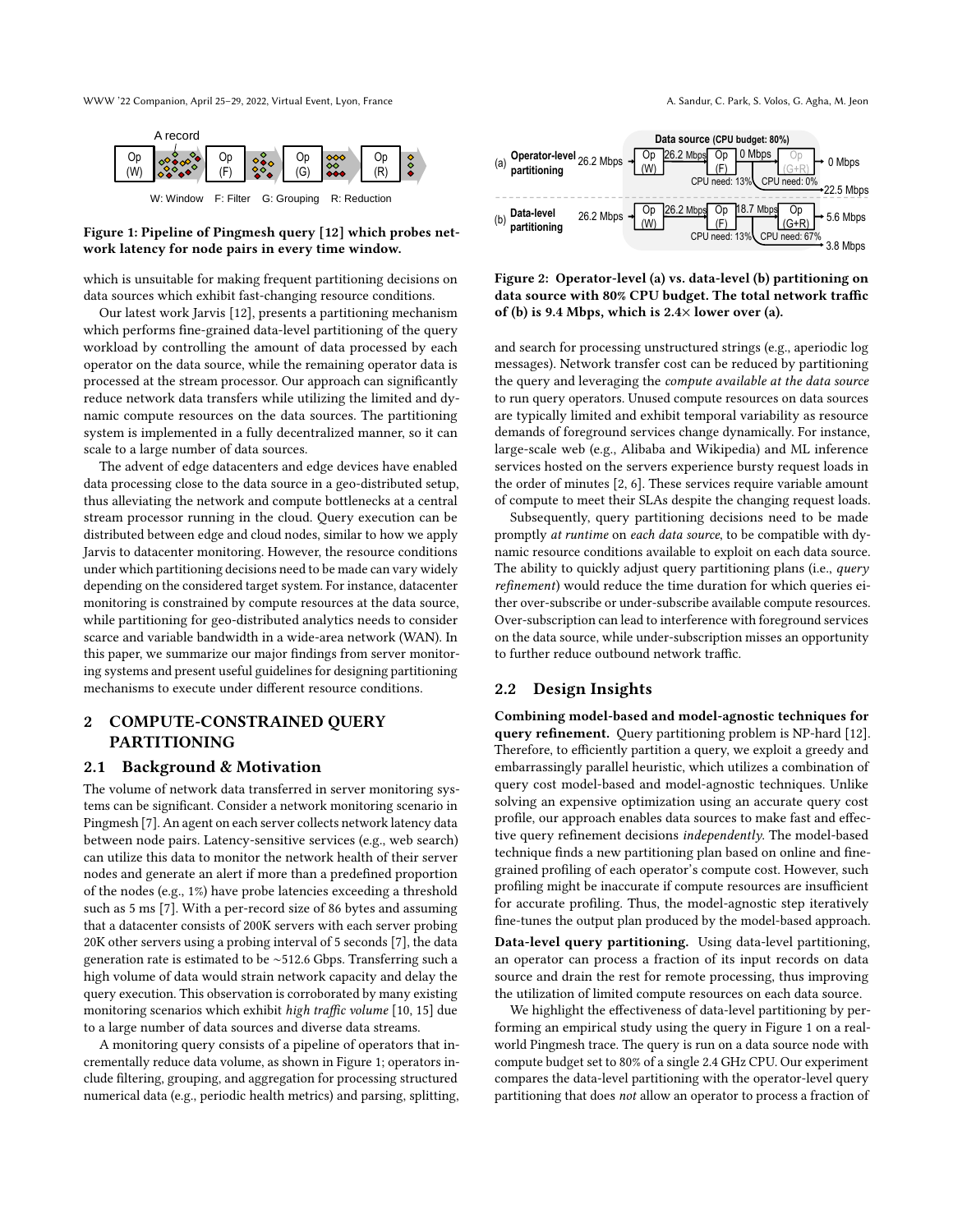WWW '22 Companion, April 25–29, 2022, Virtual Event, Lyon, France A. Sandur, C. Park, S. Volos, G. Agha, M. Jeon

<span id="page-1-0"></span>

# Figure 1: Pipeline of Pingmesh query [\[12\]](#page-3-1) which probes network latency for node pairs in every time window.

which is unsuitable for making frequent partitioning decisions on data sources which exhibit fast-changing resource conditions.

Our latest work Jarvis [\[12\]](#page-3-1), presents a partitioning mechanism which performs fine-grained data-level partitioning of the query workload by controlling the amount of data processed by each operator on the data source, while the remaining operator data is processed at the stream processor. Our approach can significantly reduce network data transfers while utilizing the limited and dynamic compute resources on the data sources. The partitioning system is implemented in a fully decentralized manner, so it can scale to a large number of data sources.

The advent of edge datacenters and edge devices have enabled data processing close to the data source in a geo-distributed setup, thus alleviating the network and compute bottlenecks at a central stream processor running in the cloud. Query execution can be distributed between edge and cloud nodes, similar to how we apply Jarvis to datacenter monitoring. However, the resource conditions under which partitioning decisions need to be made can vary widely depending on the considered target system. For instance, datacenter monitoring is constrained by compute resources at the data source, while partitioning for geo-distributed analytics needs to consider scarce and variable bandwidth in a wide-area network (WAN). In this paper, we summarize our major findings from server monitoring systems and present useful guidelines for designing partitioning mechanisms to execute under different resource conditions.

# <span id="page-1-3"></span>2 COMPUTE-CONSTRAINED QUERY PARTITIONING

### 2.1 Background & Motivation

The volume of network data transferred in server monitoring systems can be significant. Consider a network monitoring scenario in Pingmesh [\[7\]](#page-3-8). An agent on each server collects network latency data between node pairs. Latency-sensitive services (e.g., web search) can utilize this data to monitor the network health of their server nodes and generate an alert if more than a predefined proportion of the nodes (e.g., 1%) have probe latencies exceeding a threshold such as 5 ms [\[7\]](#page-3-8). With a per-record size of 86 bytes and assuming that a datacenter consists of 200K servers with each server probing 20K other servers using a probing interval of 5 seconds [\[7\]](#page-3-8), the data generation rate is estimated to be ∼512.6 Gbps. Transferring such a high volume of data would strain network capacity and delay the query execution. This observation is corroborated by many existing monitoring scenarios which exhibit high traffic volume [\[10,](#page-3-2) [15\]](#page-3-9) due to a large number of data sources and diverse data streams.

A monitoring query consists of a pipeline of operators that incrementally reduce data volume, as shown in Figure [1;](#page-1-0) operators include filtering, grouping, and aggregation for processing structured numerical data (e.g., periodic health metrics) and parsing, splitting,

<span id="page-1-1"></span>

Figure 2: Operator-level (a) vs. data-level (b) partitioning on data source with 80% CPU budget. The total network traffic of (b) is 9.4 Mbps, which is  $2.4\times$  lower over (a).

and search for processing unstructured strings (e.g., aperiodic log messages). Network transfer cost can be reduced by partitioning the query and leveraging the compute available at the data source to run query operators. Unused compute resources on data sources are typically limited and exhibit temporal variability as resource demands of foreground services change dynamically. For instance, large-scale web (e.g., Alibaba and Wikipedia) and ML inference services hosted on the servers experience bursty request loads in the order of minutes [\[2,](#page-3-10) [6\]](#page-3-11). These services require variable amount of compute to meet their SLAs despite the changing request loads.

Subsequently, query partitioning decisions need to be made promptly at runtime on each data source, to be compatible with dynamic resource conditions available to exploit on each data source. The ability to quickly adjust query partitioning plans (i.e., query refinement) would reduce the time duration for which queries either over-subscribe or under-subscribe available compute resources. Over-subscription can lead to interference with foreground services on the data source, while under-subscription misses an opportunity to further reduce outbound network traffic.

# <span id="page-1-2"></span>2.2 Design Insights

Combining model-based and model-agnostic techniques for query refinement. Query partitioning problem is NP-hard [\[12\]](#page-3-1). Therefore, to efficiently partition a query, we exploit a greedy and embarrassingly parallel heuristic, which utilizes a combination of query cost model-based and model-agnostic techniques. Unlike solving an expensive optimization using an accurate query cost profile, our approach enables data sources to make fast and effective query refinement decisions independently. The model-based technique finds a new partitioning plan based on online and finegrained profiling of each operator's compute cost. However, such profiling might be inaccurate if compute resources are insufficient for accurate profiling. Thus, the model-agnostic step iteratively fine-tunes the output plan produced by the model-based approach.

Data-level query partitioning. Using data-level partitioning, an operator can process a fraction of its input records on data source and drain the rest for remote processing, thus improving the utilization of limited compute resources on each data source.

We highlight the effectiveness of data-level partitioning by performing an empirical study using the query in Figure [1](#page-1-0) on a realworld Pingmesh trace. The query is run on a data source node with compute budget set to 80% of a single 2.4 GHz CPU. Our experiment compares the data-level partitioning with the operator-level query partitioning that does not allow an operator to process a fraction of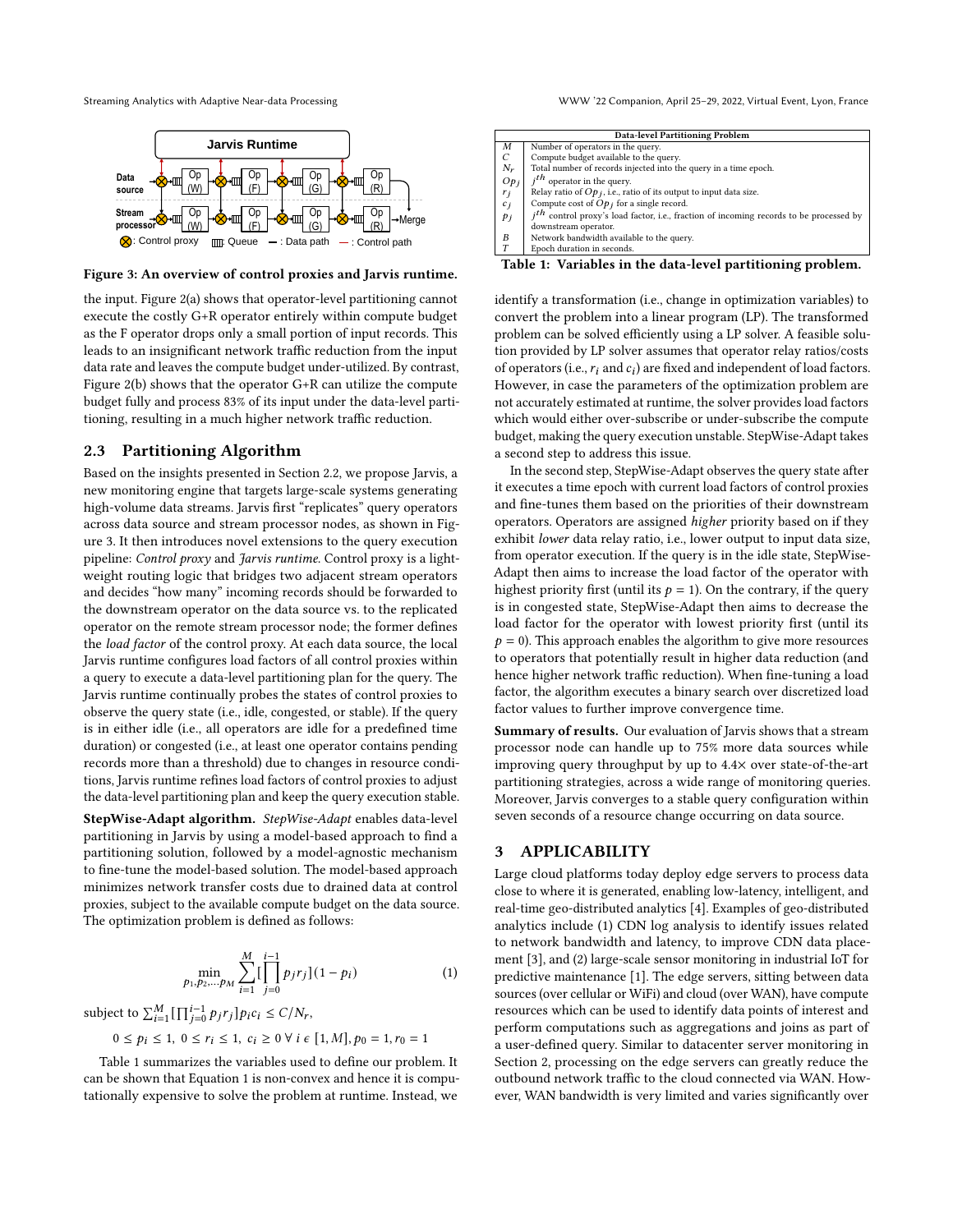<span id="page-2-0"></span>

Figure 3: An overview of control proxies and Jarvis runtime.

the input. Figure [2\(](#page-1-1)a) shows that operator-level partitioning cannot execute the costly G+R operator entirely within compute budget as the F operator drops only a small portion of input records. This leads to an insignificant network traffic reduction from the input data rate and leaves the compute budget under-utilized. By contrast, Figure [2\(](#page-1-1)b) shows that the operator G+R can utilize the compute budget fully and process 83% of its input under the data-level partitioning, resulting in a much higher network traffic reduction.

## <span id="page-2-3"></span>2.3 Partitioning Algorithm

Based on the insights presented in Section [2.2,](#page-1-2) we propose Jarvis, a new monitoring engine that targets large-scale systems generating high-volume data streams. Jarvis first "replicates" query operators across data source and stream processor nodes, as shown in Figure [3.](#page-2-0) It then introduces novel extensions to the query execution pipeline: Control proxy and Jarvis runtime. Control proxy is a lightweight routing logic that bridges two adjacent stream operators and decides "how many" incoming records should be forwarded to the downstream operator on the data source vs. to the replicated operator on the remote stream processor node; the former defines the load factor of the control proxy. At each data source, the local Jarvis runtime configures load factors of all control proxies within a query to execute a data-level partitioning plan for the query. The Jarvis runtime continually probes the states of control proxies to observe the query state (i.e., idle, congested, or stable). If the query is in either idle (i.e., all operators are idle for a predefined time duration) or congested (i.e., at least one operator contains pending records more than a threshold) due to changes in resource conditions, Jarvis runtime refines load factors of control proxies to adjust the data-level partitioning plan and keep the query execution stable.

StepWise-Adapt algorithm. StepWise-Adapt enables data-level partitioning in Jarvis by using a model-based approach to find a partitioning solution, followed by a model-agnostic mechanism to fine-tune the model-based solution. The model-based approach minimizes network transfer costs due to drained data at control proxies, subject to the available compute budget on the data source. The optimization problem is defined as follows:

$$
\min_{p_1, p_2, \dots, p_M} \sum_{i=1}^{M} \left[ \prod_{j=0}^{i-1} p_j r_j \right] (1 - p_i)
$$
 (1)

subject to  $\sum_{i=1}^{M} \left[ \prod_{j=0}^{i-1} p_j r_j \right] p_i c_i \le C/N_r$ ,

 $0 \le p_i \le 1, 0 \le r_i \le 1, c_i \ge 0 \ \forall i \in [1, M], p_0 = 1, r_0 = 1$ 

Table [1](#page-2-1) summarizes the variables used to define our problem. It can be shown that Equation [1](#page-2-2) is non-convex and hence it is computationally expensive to solve the problem at runtime. Instead, we

Streaming Analytics with Adaptive Near-data Processing WWW '22 Companion, April 25–29, 2022, Virtual Event, Lyon, France

<span id="page-2-1"></span>

| <b>Data-level Partitioning Problem</b> |                                                                                          |
|----------------------------------------|------------------------------------------------------------------------------------------|
| M                                      | Number of operators in the query.                                                        |
| $\mathcal{C}$                          | Compute budget available to the query.                                                   |
| $N_r$                                  | Total number of records injected into the query in a time epoch.                         |
| Op <sub>j</sub>                        | $ith$ operator in the query.                                                             |
| $r_j$                                  | Relay ratio of $Op_i$ , i.e., ratio of its output to input data size.                    |
| $c_j$                                  | Compute cost of $Opj$ for a single record.                                               |
| pi                                     | $ith$ control proxy's load factor, i.e., fraction of incoming records to be processed by |
|                                        | downstream operator.                                                                     |
| B                                      | Network bandwidth available to the query.                                                |

Epoch duration in seconds.

Table 1: Variables in the data-level partitioning problem.

identify a transformation (i.e., change in optimization variables) to convert the problem into a linear program (LP). The transformed problem can be solved efficiently using a LP solver. A feasible solution provided by LP solver assumes that operator relay ratios/costs of operators (i.e.,  $r_i$  and  $c_i$ ) are fixed and independent of load factors. However, in case the parameters of the optimization problem are not accurately estimated at runtime, the solver provides load factors which would either over-subscribe or under-subscribe the compute budget, making the query execution unstable. StepWise-Adapt takes a second step to address this issue.

In the second step, StepWise-Adapt observes the query state after it executes a time epoch with current load factors of control proxies and fine-tunes them based on the priorities of their downstream operators. Operators are assigned higher priority based on if they exhibit lower data relay ratio, i.e., lower output to input data size, from operator execution. If the query is in the idle state, StepWise-Adapt then aims to increase the load factor of the operator with highest priority first (until its  $p = 1$ ). On the contrary, if the query is in congested state, StepWise-Adapt then aims to decrease the load factor for the operator with lowest priority first (until its  $p = 0$ ). This approach enables the algorithm to give more resources to operators that potentially result in higher data reduction (and hence higher network traffic reduction). When fine-tuning a load factor, the algorithm executes a binary search over discretized load factor values to further improve convergence time.

Summary of results. Our evaluation of Jarvis shows that a stream processor node can handle up to 75% more data sources while improving query throughput by up to 4.4× over state-of-the-art partitioning strategies, across a wide range of monitoring queries. Moreover, Jarvis converges to a stable query configuration within seven seconds of a resource change occurring on data source.

# 3 APPLICABILITY

<span id="page-2-2"></span>Large cloud platforms today deploy edge servers to process data close to where it is generated, enabling low-latency, intelligent, and real-time geo-distributed analytics [\[4\]](#page-3-12). Examples of geo-distributed analytics include (1) CDN log analysis to identify issues related to network bandwidth and latency, to improve CDN data placement [\[3\]](#page-3-13), and (2) large-scale sensor monitoring in industrial IoT for predictive maintenance [\[1\]](#page-3-14). The edge servers, sitting between data sources (over cellular or WiFi) and cloud (over WAN), have compute resources which can be used to identify data points of interest and perform computations such as aggregations and joins as part of a user-defined query. Similar to datacenter server monitoring in Section [2,](#page-1-3) processing on the edge servers can greatly reduce the outbound network traffic to the cloud connected via WAN. However, WAN bandwidth is very limited and varies significantly over